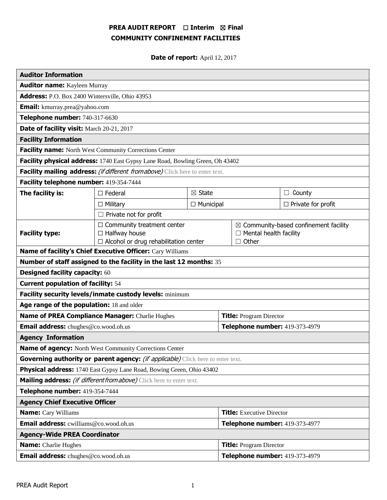## **PREA AUDIT REPORT** ☐ **Interim** ☒ **Final COMMUNITY CONFINEMENT FACILITIES**

**Date of report:** April 12, 2017

| <b>Auditor Information</b>                                                             |                                                                                                           |                  |                                  |                                                                                                   |                           |  |
|----------------------------------------------------------------------------------------|-----------------------------------------------------------------------------------------------------------|------------------|----------------------------------|---------------------------------------------------------------------------------------------------|---------------------------|--|
| <b>Auditor name:</b> Kayleen Murray                                                    |                                                                                                           |                  |                                  |                                                                                                   |                           |  |
| Address: P.O. Box 2400 Wintersville, Ohio 43953                                        |                                                                                                           |                  |                                  |                                                                                                   |                           |  |
| <b>Email:</b> kmurray.prea@yahoo.com                                                   |                                                                                                           |                  |                                  |                                                                                                   |                           |  |
| Telephone number: 740-317-6630                                                         |                                                                                                           |                  |                                  |                                                                                                   |                           |  |
| Date of facility visit: March 20-21, 2017                                              |                                                                                                           |                  |                                  |                                                                                                   |                           |  |
| <b>Facility Information</b>                                                            |                                                                                                           |                  |                                  |                                                                                                   |                           |  |
| <b>Facility name:</b> North West Community Corrections Center                          |                                                                                                           |                  |                                  |                                                                                                   |                           |  |
| Facility physical address: 1740 East Gypsy Lane Road, Bowling Green, Oh 43402          |                                                                                                           |                  |                                  |                                                                                                   |                           |  |
| Facility mailing address: (if different from above) Click here to enter text.          |                                                                                                           |                  |                                  |                                                                                                   |                           |  |
| Facility telephone number: 419-354-7444                                                |                                                                                                           |                  |                                  |                                                                                                   |                           |  |
| The facility is:                                                                       | $\boxtimes$ State<br>$\Box$ Federal                                                                       |                  |                                  |                                                                                                   | $\Box$ County             |  |
|                                                                                        | $\Box$ Military                                                                                           | $\Box$ Municipal |                                  |                                                                                                   | $\Box$ Private for profit |  |
|                                                                                        | $\Box$ Private not for profit                                                                             |                  |                                  |                                                                                                   |                           |  |
| <b>Facility type:</b>                                                                  | $\Box$ Community treatment center<br>$\Box$ Halfway house<br>$\Box$ Alcohol or drug rehabilitation center |                  |                                  | $\boxtimes$ Community-based confinement facility<br>$\Box$ Mental health facility<br>$\Box$ Other |                           |  |
| Name of facility's Chief Executive Officer: Cary Williams                              |                                                                                                           |                  |                                  |                                                                                                   |                           |  |
| Number of staff assigned to the facility in the last 12 months: 35                     |                                                                                                           |                  |                                  |                                                                                                   |                           |  |
| <b>Designed facility capacity: 60</b>                                                  |                                                                                                           |                  |                                  |                                                                                                   |                           |  |
| <b>Current population of facility: 54</b>                                              |                                                                                                           |                  |                                  |                                                                                                   |                           |  |
| Facility security levels/inmate custody levels: minimum                                |                                                                                                           |                  |                                  |                                                                                                   |                           |  |
| Age range of the population: 18 and older                                              |                                                                                                           |                  |                                  |                                                                                                   |                           |  |
| Name of PREA Compliance Manager: Charlie Hughes                                        |                                                                                                           |                  | <b>Title: Program Director</b>   |                                                                                                   |                           |  |
| Email address: chughes@co.wood.oh.us                                                   |                                                                                                           |                  | Telephone number: 419-373-4979   |                                                                                                   |                           |  |
| <b>Agency Information</b>                                                              |                                                                                                           |                  |                                  |                                                                                                   |                           |  |
| Name of agency: North West Community Corrections Center                                |                                                                                                           |                  |                                  |                                                                                                   |                           |  |
| Governing authority or parent agency: <i>(if applicable)</i> Click here to enter text. |                                                                                                           |                  |                                  |                                                                                                   |                           |  |
| Physical address: 1740 East Gypsy Lane Road, Bowing Green, Ohio 43402                  |                                                                                                           |                  |                                  |                                                                                                   |                           |  |
| Mailing address: <i>(if different from above)</i> Click here to enter text.            |                                                                                                           |                  |                                  |                                                                                                   |                           |  |
| Telephone number: 419-354-7444                                                         |                                                                                                           |                  |                                  |                                                                                                   |                           |  |
| <b>Agency Chief Executive Officer</b>                                                  |                                                                                                           |                  |                                  |                                                                                                   |                           |  |
| <b>Name:</b> Cary Williams                                                             |                                                                                                           |                  | <b>Title:</b> Executive Director |                                                                                                   |                           |  |
| Email address: cwilliams@co.wood.oh.us                                                 |                                                                                                           |                  | Telephone number: 419-373-4977   |                                                                                                   |                           |  |
| <b>Agency-Wide PREA Coordinator</b>                                                    |                                                                                                           |                  |                                  |                                                                                                   |                           |  |
| <b>Name:</b> Charlie Hughes                                                            |                                                                                                           |                  | <b>Title: Program Director</b>   |                                                                                                   |                           |  |
| Email address: chughes@co.wood.oh.us                                                   |                                                                                                           |                  | Telephone number: 419-373-4979   |                                                                                                   |                           |  |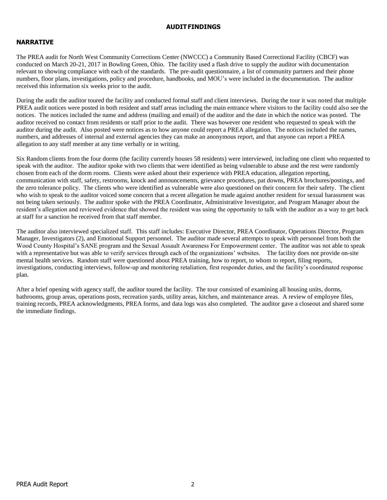#### **AUDITFINDINGS**

## **NARRATIVE**

The PREA audit for North West Community Corrections Center (NWCCC) a Community Based Correctional Facility (CBCF) was conducted on March 20-21, 2017 in Bowling Green, Ohio. The facility used a flash drive to supply the auditor with documentation relevant to showing compliance with each of the standards. The pre-audit questionnaire, a list of community partners and their phone numbers, floor plans, investigations, policy and procedure, handbooks, and MOU's were included in the documentation. The auditor received this information six weeks prior to the audit.

During the audit the auditor toured the facility and conducted formal staff and client interviews. During the tour it was noted that multiple PREA audit notices were posted in both resident and staff areas including the main entrance where visitors to the facility could also see the notices. The notices included the name and address (mailing and email) of the auditor and the date in which the notice was posted. The auditor received no contact from residents or staff prior to the audit. There was however one resident who requested to speak with the auditor during the audit. Also posted were notices as to how anyone could report a PREA allegation. The notices included the names, numbers, and addresses of internal and external agencies they can make an anonymous report, and that anyone can report a PREA allegation to any staff member at any time verbally or in writing.

Six Random clients from the four dorms (the facility currently houses 58 residents) were interviewed, including one client who requested to speak with the auditor. The auditor spoke with two clients that were identified as being vulnerable to abuse and the rest were randomly chosen from each of the dorm rooms. Clients were asked about their experience with PREA education, allegation reporting, communication with staff, safety, restrooms, knock and announcements, grievance procedures, pat downs, PREA brochures/postings, and the zero tolerance policy. The clients who were identified as vulnerable were also questioned on their concern for their safety. The client who wish to speak to the auditor voiced some concern that a recent allegation he made against another resident for sexual harassment was not being taken seriously. The auditor spoke with the PREA Coordinator, Administrative Investigator, and Program Manager about the resident's allegation and reviewed evidence that showed the resident was using the opportunity to talk with the auditor as a way to get back at staff for a sanction he received from that staff member.

The auditor also interviewed specialized staff. This staff includes: Executive Director, PREA Coordinator, Operations Director, Program Manager, Investigators (2), and Emotional Support personnel. The auditor made several attempts to speak with personnel from both the Wood County Hospital's SANE program and the Sexual Assault Awareness For Empowerment center. The auditor was not able to speak with a representative but was able to verify services through each of the organizations' websites. The facility does not provide on-site mental health services. Random staff were questioned about PREA training, how to report, to whom to report, filing reports, investigations, conducting interviews, follow-up and monitoring retaliation, first responder duties, and the facility's coordinated response plan.

After a brief opening with agency staff, the auditor toured the facility. The tour consisted of examining all housing units, dorms, bathrooms, group areas, operations posts, recreation yards, utility areas, kitchen, and maintenance areas. A review of employee files, training records, PREA acknowledgments, PREA forms, and data logs was also completed. The auditor gave a closeout and shared some the immediate findings.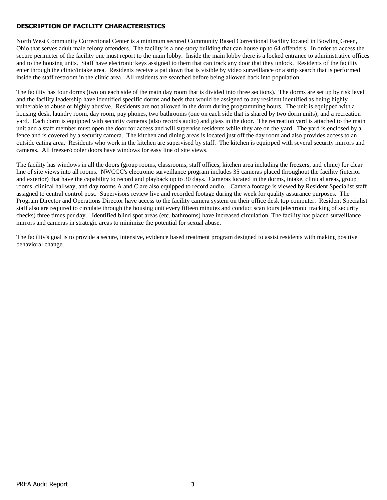## **DESCRIPTION OF FACILITY CHARACTERISTICS**

North West Community Correctional Center is a minimum secured Community Based Correctional Facility located in Bowling Green, Ohio that serves adult male felony offenders. The facility is a one story building that can house up to 64 offenders. In order to access the secure perimeter of the facility one must report to the main lobby. Inside the main lobby there is a locked entrance to administrative offices and to the housing units. Staff have electronic keys assigned to them that can track any door that they unlock. Residents of the facility enter through the clinic/intake area. Residents receive a pat down that is visible by video surveillance or a strip search that is performed inside the staff restroom in the clinic area. All residents are searched before being allowed back into population.

The facility has four dorms (two on each side of the main day room that is divided into three sections). The dorms are set up by risk level and the facility leadership have identified specific dorms and beds that would be assigned to any resident identified as being highly vulnerable to abuse or highly abusive. Residents are not allowed in the dorm during programming hours. The unit is equipped with a housing desk, laundry room, day room, pay phones, two bathrooms (one on each side that is shared by two dorm units), and a recreation yard. Each dorm is equipped with security cameras (also records audio) and glass in the door. The recreation yard is attached to the main unit and a staff member must open the door for access and will supervise residents while they are on the yard. The yard is enclosed by a fence and is covered by a security camera. The kitchen and dining areas is located just off the day room and also provides access to an outside eating area. Residents who work in the kitchen are supervised by staff. The kitchen is equipped with several security mirrors and cameras. All freezer/cooler doors have windows for easy line of site views.

The facility has windows in all the doors (group rooms, classrooms, staff offices, kitchen area including the freezers, and clinic) for clear line of site views into all rooms. NWCCC's electronic surveillance program includes 35 cameras placed throughout the facility (interior and exterior) that have the capability to record and playback up to 30 days. Cameras located in the dorms, intake, clinical areas, group rooms, clinical hallway, and day rooms A and C are also equipped to record audio. Camera footage is viewed by Resident Specialist staff assigned to central control post. Supervisors review live and recorded footage during the week for quality assurance purposes. The Program Director and Operations Director have access to the facility camera system on their office desk top computer. Resident Specialist staff also are required to circulate through the housing unit every fifteen minutes and conduct scan tours (electronic tracking of security checks) three times per day. Identified blind spot areas (etc. bathrooms) have increased circulation. The facility has placed surveillance mirrors and cameras in strategic areas to minimize the potential for sexual abuse.

The facility's goal is to provide a secure, intensive, evidence based treatment program designed to assist residents with making positive behavioral change.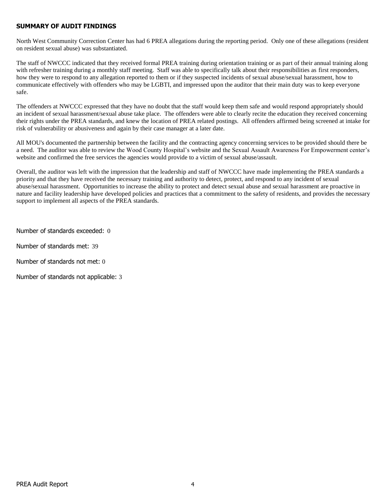## **SUMMARY OF AUDIT FINDINGS**

North West Community Correction Center has had 6 PREA allegations during the reporting period. Only one of these allegations (resident on resident sexual abuse) was substantiated.

The staff of NWCCC indicated that they received formal PREA training during orientation training or as part of their annual training along with refresher training during a monthly staff meeting. Staff was able to specifically talk about their responsibilities as first responders, how they were to respond to any allegation reported to them or if they suspected incidents of sexual abuse/sexual harassment, how to communicate effectively with offenders who may be LGBTI, and impressed upon the auditor that their main duty was to keep everyone safe.

The offenders at NWCCC expressed that they have no doubt that the staff would keep them safe and would respond appropriately should an incident of sexual harassment/sexual abuse take place. The offenders were able to clearly recite the education they received concerning their rights under the PREA standards, and knew the location of PREA related postings. All offenders affirmed being screened at intake for risk of vulnerability or abusiveness and again by their case manager at a later date.

All MOU's documented the partnership between the facility and the contracting agency concerning services to be provided should there be a need. The auditor was able to review the Wood County Hospital's website and the Sexual Assault Awareness For Empowerment center's website and confirmed the free services the agencies would provide to a victim of sexual abuse/assault.

Overall, the auditor was left with the impression that the leadership and staff of NWCCC have made implementing the PREA standards a priority and that they have received the necessary training and authority to detect, protect, and respond to any incident of sexual abuse/sexual harassment. Opportunities to increase the ability to protect and detect sexual abuse and sexual harassment are proactive in nature and facility leadership have developed policies and practices that a commitment to the safety of residents, and provides the necessary support to implement all aspects of the PREA standards.

Number of standards exceeded: 0

Number of standards met: 39

Number of standards not met: 0

Number of standards not applicable: 3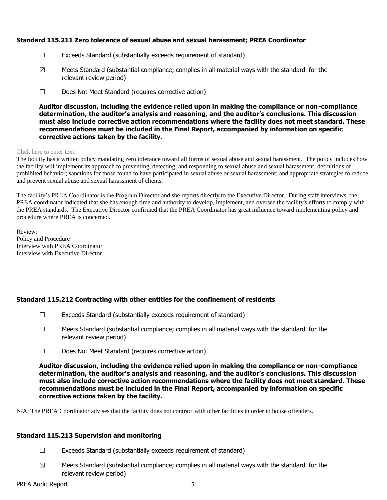## **Standard 115.211 Zero tolerance of sexual abuse and sexual harassment; PREA Coordinator**

- ☐ Exceeds Standard (substantially exceeds requirement of standard)
- $\boxtimes$  Meets Standard (substantial compliance; complies in all material ways with the standard for the relevant review period)
- ☐ Does Not Meet Standard (requires corrective action)

**Auditor discussion, including the evidence relied upon in making the compliance or non-compliance determination, the auditor's analysis and reasoning, and the auditor's conclusions. This discussion must also include corrective action recommendations where the facility does not meet standard. These recommendations must be included in the Final Report, accompanied by information on specific corrective actions taken by the facility.**

#### Click here to enter text.

The facility has a written policy mandating zero tolerance toward all forms of sexual abuse and sexual harassment. The policy includes how the facility will implement its approach to preventing, detecting, and responding to sexual abuse and sexual harassment; definitions of prohibited behavior; sanctions for those found to have participated in sexual abuse or sexual harassment; and appropriate strategies to reduce and prevent sexual abuse and sexual harassment of clients.

The facility's PREA Coordinator is the Program Director and she reports directly to the Executive Director. During staff interviews, the PREA coordinator indicated that she has enough time and authority to develop, implement, and oversee the facility's efforts to comply with the PREA standards. The Executive Director confirmed that the PREA Coordinator has great influence toward implementing policy and procedure where PREA is concerned.

Review: Policy and Procedure Interview with PREA Coordinator Interview with Executive Director

## **Standard 115.212 Contracting with other entities for the confinement of residents**

- $\Box$  Exceeds Standard (substantially exceeds requirement of standard)
- $\Box$  Meets Standard (substantial compliance; complies in all material ways with the standard for the relevant review period)
- ☐ Does Not Meet Standard (requires corrective action)

**Auditor discussion, including the evidence relied upon in making the compliance or non-compliance determination, the auditor's analysis and reasoning, and the auditor's conclusions. This discussion must also include corrective action recommendations where the facility does not meet standard. These recommendations must be included in the Final Report, accompanied by information on specific corrective actions taken by the facility.**

N/A: The PREA Coordinator advises that the facility does not contract with other facilities in order to house offenders.

## **Standard 115.213 Supervision and monitoring**

- ☐ Exceeds Standard (substantially exceeds requirement of standard)
- $\boxtimes$  Meets Standard (substantial compliance; complies in all material ways with the standard for the relevant review period)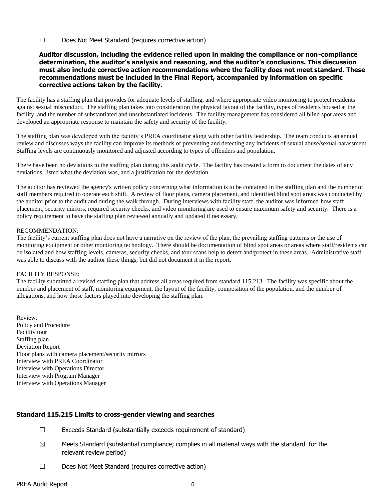☐ Does Not Meet Standard (requires corrective action)

#### **Auditor discussion, including the evidence relied upon in making the compliance or non-compliance determination, the auditor's analysis and reasoning, and the auditor's conclusions. This discussion must also include corrective action recommendations where the facility does not meet standard. These recommendations must be included in the Final Report, accompanied by information on specific corrective actions taken by the facility.**

The facility has a staffing plan that provides for adequate levels of staffing, and where appropriate video monitoring to protect residents against sexual misconduct. The staffing plan takes into consideration the physical layout of the facility, types of residents housed at the facility, and the number of substantiated and unsubstantiated incidents. The facility management has considered all blind spot areas and developed an appropriate response to maintain the safety and security of the facility.

The staffing plan was developed with the facility's PREA coordinator along with other facility leadership. The team conducts an annual review and discusses ways the facility can improve its methods of preventing and detecting any incidents of sexual abuse/sexual harassment. Staffing levels are continuously monitored and adjusted according to types of offenders and population.

There have been no deviations to the staffing plan during this audit cycle. The facility has created a form to document the dates of any deviations, listed what the deviation was, and a justification for the deviation.

The auditor has reviewed the agency's written policy concerning what information is to be contained in the staffing plan and the number of staff members required to operate each shift. A review of floor plans, camera placement, and identified blind spot areas was conducted by the auditor prior to the audit and during the walk through. During interviews with facility staff, the auditor was informed how staff placement, security mirrors, required security checks, and video monitoring are used to ensure maximum safety and security. There is a policy requirement to have the staffing plan reviewed annually and updated if necessary.

#### RECOMMENDATION:

The facility's current staffing plan does not have a narrative on the review of the plan, the prevailing staffing patterns or the use of monitoring equipment or other monitoring technology. There should be documentation of blind spot areas or areas where staff/residents can be isolated and how staffing levels, cameras, security checks, and tour scans help to detect and/protect in these areas. Administrative staff was able to discuss with the auditor these things, but did not document it in the report.

#### FACILITY RESPONSE:

The facility submitted a revised staffing plan that address all areas required from standard 115.213. The facility was specific about the number and placement of staff, monitoring equipment, the layout of the facility, composition of the population, and the number of allegations, and how those factors played into developing the staffing plan.

Review: Policy and Procedure Facility tour Staffing plan Deviation Report Floor plans with camera placement/security mirrors Interview with PREA Coordinator Interview with Operations Director Interview with Program Manager Interview with Operations Manager

## **Standard 115.215 Limits to cross-gender viewing and searches**

- ☐ Exceeds Standard (substantially exceeds requirement of standard)
- $\boxtimes$  Meets Standard (substantial compliance; complies in all material ways with the standard for the relevant review period)
- ☐ Does Not Meet Standard (requires corrective action)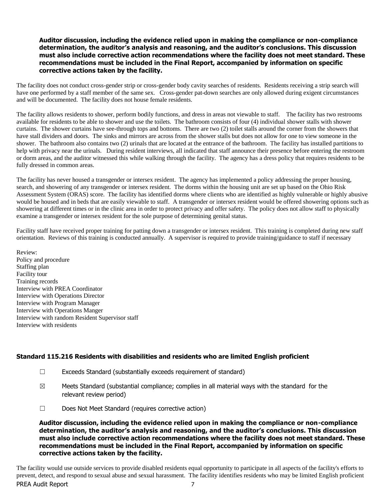#### **Auditor discussion, including the evidence relied upon in making the compliance or non-compliance determination, the auditor's analysis and reasoning, and the auditor's conclusions. This discussion must also include corrective action recommendations where the facility does not meet standard. These recommendations must be included in the Final Report, accompanied by information on specific corrective actions taken by the facility.**

The facility does not conduct cross-gender strip or cross-gender body cavity searches of residents. Residents receiving a strip search will have one performed by a staff member of the same sex. Cross-gender pat-down searches are only allowed during exigent circumstances and will be documented. The facility does not house female residents.

The facility allows residents to shower, perform bodily functions, and dress in areas not viewable to staff. The facility has two restrooms available for residents to be able to shower and use the toilets. The bathroom consists of four (4) individual shower stalls with shower curtains. The shower curtains have see-through tops and bottoms. There are two (2) toilet stalls around the corner from the showers that have stall dividers and doors. The sinks and mirrors are across from the shower stalls but does not allow for one to view someone in the shower. The bathroom also contains two (2) urinals that are located at the entrance of the bathroom. The facility has installed partitions to help with privacy near the urinals. During resident interviews, all indicated that staff announce their presence before entering the restroom or dorm areas, and the auditor witnessed this while walking through the facility. The agency has a dress policy that requires residents to be fully dressed in common areas.

The facility has never housed a transgender or intersex resident. The agency has implemented a policy addressing the proper housing, search, and showering of any transgender or intersex resident. The dorms within the housing unit are set up based on the Ohio Risk Assessment System (ORAS) score. The facility has identified dorms where clients who are identified as highly vulnerable or highly abusive would be housed and in beds that are easily viewable to staff. A transgender or intersex resident would be offered showering options such as showering at different times or in the clinic area in order to protect privacy and offer safety. The policy does not allow staff to physically examine a transgender or intersex resident for the sole purpose of determining genital status.

Facility staff have received proper training for patting down a transgender or intersex resident. This training is completed during new staff orientation. Reviews of this training is conducted annually. A supervisor is required to provide training/guidance to staff if necessary

Review: Policy and procedure Staffing plan Facility tour Training records Interview with PREA Coordinator Interview with Operations Director Interview with Program Manager Interview with Operations Manger Interview with random Resident Supervisor staff Interview with residents

## **Standard 115.216 Residents with disabilities and residents who are limited English proficient**

- ☐ Exceeds Standard (substantially exceeds requirement of standard)
- $\boxtimes$  Meets Standard (substantial compliance; complies in all material ways with the standard for the relevant review period)
- ☐ Does Not Meet Standard (requires corrective action)

**Auditor discussion, including the evidence relied upon in making the compliance or non-compliance determination, the auditor's analysis and reasoning, and the auditor's conclusions. This discussion must also include corrective action recommendations where the facility does not meet standard. These recommendations must be included in the Final Report, accompanied by information on specific corrective actions taken by the facility.**

PREA Audit Report 7 The facility would use outside services to provide disabled residents equal opportunity to participate in all aspects of the facility's efforts to prevent, detect, and respond to sexual abuse and sexual harassment. The facility identifies residents who may be limited English proficient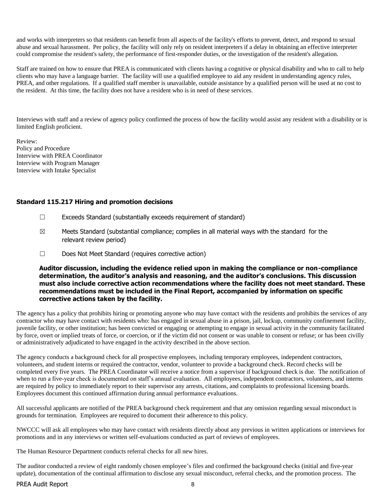and works with interpreters so that residents can benefit from all aspects of the facility's efforts to prevent, detect, and respond to sexual abuse and sexual harassment. Per policy, the facility will only rely on resident interpreters if a delay in obtaining an effective interpreter could compromise the resident's safety, the performance of first-responder duties, or the investigation of the resident's allegation.

Staff are trained on how to ensure that PREA is communicated with clients having a cognitive or physical disability and who to call to help clients who may have a language barrier. The facility will use a qualified employee to aid any resident in understanding agency rules, PREA, and other regulations. If a qualified staff member is unavailable, outside assistance by a qualified person will be used at no cost to the resident. At this time, the facility does not have a resident who is in need of these services.

Interviews with staff and a review of agency policy confirmed the process of how the facility would assist any resident with a disability or is limited English proficient.

Review: Policy and Procedure Interview with PREA Coordinator Interview with Program Manager Interview with Intake Specialist

## **Standard 115.217 Hiring and promotion decisions**

- ☐ Exceeds Standard (substantially exceeds requirement of standard)
- $\boxtimes$  Meets Standard (substantial compliance; complies in all material ways with the standard for the relevant review period)
- ☐ Does Not Meet Standard (requires corrective action)

#### **Auditor discussion, including the evidence relied upon in making the compliance or non-compliance determination, the auditor's analysis and reasoning, and the auditor's conclusions. This discussion must also include corrective action recommendations where the facility does not meet standard. These recommendations must be included in the Final Report, accompanied by information on specific corrective actions taken by the facility.**

The agency has a policy that prohibits hiring or promoting anyone who may have contact with the residents and prohibits the services of any contractor who may have contact with residents who: has engaged in sexual abuse in a prison, jail, lockup, community confinement facility, juvenile facility, or other institution; has been convicted or engaging or attempting to engage in sexual activity in the community facilitated by force, overt or implied treats of force, or coercion, or if the victim did not consent or was unable to consent or refuse; or has been civilly or administratively adjudicated to have engaged in the activity described in the above section.

The agency conducts a background check for all prospective employees, including temporary employees, independent contractors, volunteers, and student interns or required the contractor, vendor, volunteer to provide a background check. Record checks will be completed every five years. The PREA Coordinator will receive a notice from a supervisor if background check is due. The notification of when to run a five-year check is documented on staff's annual evaluation. All employees, independent contractors, volunteers, and interns are required by policy to immediately report to their supervisor any arrests, citations, and complaints to professional licensing boards. Employees document this continued affirmation during annual performance evaluations.

All successful applicants are notified of the PREA background check requirement and that any omission regarding sexual misconduct is grounds for termination. Employees are required to document their adherence to this policy.

NWCCC will ask all employees who may have contact with residents directly about any previous in written applications or interviews for promotions and in any interviews or written self-evaluations conducted as part of reviews of employees.

The Human Resource Department conducts referral checks for all new hires.

The auditor conducted a review of eight randomly chosen employee's files and confirmed the background checks (initial and five-year update), documentation of the continual affirmation to disclose any sexual misconduct, referral checks, and the promotion process. The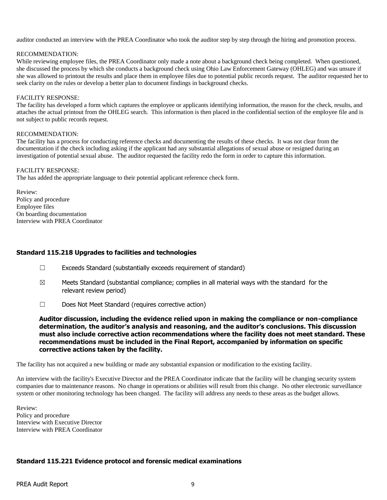auditor conducted an interview with the PREA Coordinator who took the auditor step by step through the hiring and promotion process.

#### RECOMMENDATION:

While reviewing employee files, the PREA Coordinator only made a note about a background check being completed. When questioned, she discussed the process by which she conducts a background check using Ohio Law Enforcement Gateway (OHLEG) and was unsure if she was allowed to printout the results and place them in employee files due to potential public records request. The auditor requested her to seek clarity on the rules or develop a better plan to document findings in background checks.

#### FACILITY RESPONSE:

The facility has developed a form which captures the employee or applicants identifying information, the reason for the check, results, and attaches the actual printout from the OHLEG search. This information is then placed in the confidential section of the employee file and is not subject to public records request.

#### RECOMMENDATION:

The facility has a process for conducting reference checks and documenting the results of these checks. It was not clear from the documentation if the check including asking if the applicant had any substantial allegations of sexual abuse or resigned during an investigation of potential sexual abuse. The auditor requested the facility redo the form in order to capture this information.

#### FACILITY RESPONSE:

The has added the appropriate language to their potential applicant reference check form.

Review: Policy and procedure Employee files On boarding documentation Interview with PREA Coordinator

## **Standard 115.218 Upgrades to facilities and technologies**

- ☐ Exceeds Standard (substantially exceeds requirement of standard)
- $\boxtimes$  Meets Standard (substantial compliance; complies in all material ways with the standard for the relevant review period)
- ☐ Does Not Meet Standard (requires corrective action)

**Auditor discussion, including the evidence relied upon in making the compliance or non-compliance determination, the auditor's analysis and reasoning, and the auditor's conclusions. This discussion must also include corrective action recommendations where the facility does not meet standard. These recommendations must be included in the Final Report, accompanied by information on specific corrective actions taken by the facility.**

The facility has not acquired a new building or made any substantial expansion or modification to the existing facility.

An interview with the facility's Executive Director and the PREA Coordinator indicate that the facility will be changing security system companies due to maintenance reasons. No change in operations or abilities will result from this change. No other electronic surveillance system or other monitoring technology has been changed. The facility will address any needs to these areas as the budget allows.

Review: Policy and procedure Interview with Executive Director Interview with PREA Coordinator

#### **Standard 115.221 Evidence protocol and forensic medical examinations**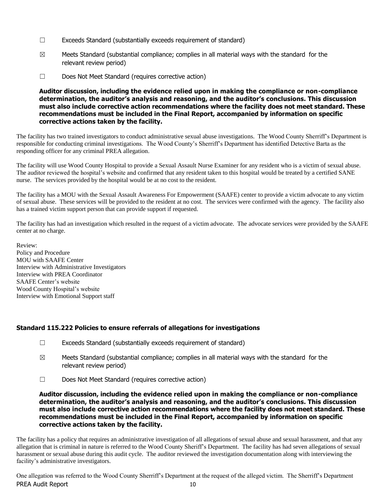- ☐ Exceeds Standard (substantially exceeds requirement of standard)
- $\boxtimes$  Meets Standard (substantial compliance; complies in all material ways with the standard for the relevant review period)
- ☐ Does Not Meet Standard (requires corrective action)

**Auditor discussion, including the evidence relied upon in making the compliance or non-compliance determination, the auditor's analysis and reasoning, and the auditor's conclusions. This discussion must also include corrective action recommendations where the facility does not meet standard. These recommendations must be included in the Final Report, accompanied by information on specific corrective actions taken by the facility.**

The facility has two trained investigators to conduct administrative sexual abuse investigations. The Wood County Sherriff's Department is responsible for conducting criminal investigations. The Wood County's Sherriff's Department has identified Detective Barta as the responding officer for any criminal PREA allegation.

The facility will use Wood County Hospital to provide a Sexual Assault Nurse Examiner for any resident who is a victim of sexual abuse. The auditor reviewed the hospital's website and confirmed that any resident taken to this hospital would be treated by a certified SANE nurse. The services provided by the hospital would be at no cost to the resident.

The facility has a MOU with the Sexual Assault Awareness For Empowerment (SAAFE) center to provide a victim advocate to any victim of sexual abuse. These services will be provided to the resident at no cost. The services were confirmed with the agency. The facility also has a trained victim support person that can provide support if requested.

The facility has had an investigation which resulted in the request of a victim advocate. The advocate services were provided by the SAAFE center at no charge.

Review: Policy and Procedure MOU with SAAFE Center Interview with Administrative Investigators Interview with PREA Coordinator SAAFE Center's website Wood County Hospital's website Interview with Emotional Support staff

## **Standard 115.222 Policies to ensure referrals of allegations for investigations**

- ☐ Exceeds Standard (substantially exceeds requirement of standard)
- $\boxtimes$  Meets Standard (substantial compliance; complies in all material ways with the standard for the relevant review period)
- ☐ Does Not Meet Standard (requires corrective action)

**Auditor discussion, including the evidence relied upon in making the compliance or non-compliance determination, the auditor's analysis and reasoning, and the auditor's conclusions. This discussion must also include corrective action recommendations where the facility does not meet standard. These recommendations must be included in the Final Report, accompanied by information on specific corrective actions taken by the facility.**

The facility has a policy that requires an administrative investigation of all allegations of sexual abuse and sexual harassment, and that any allegation that is criminal in nature is referred to the Wood County Sheriff's Department. The facility has had seven allegations of sexual harassment or sexual abuse during this audit cycle. The auditor reviewed the investigation documentation along with interviewing the facility's administrative investigators.

PREA Audit Report 10 One allegation was referred to the Wood County Sherriff's Department at the request of the alleged victim. The Sherriff's Department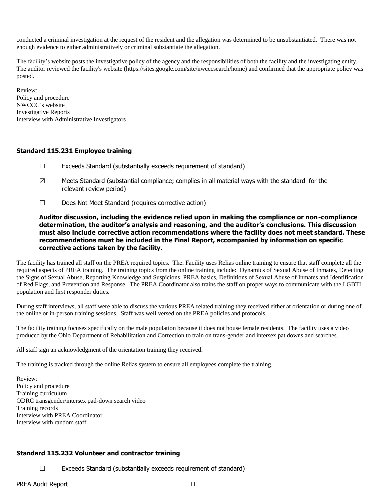conducted a criminal investigation at the request of the resident and the allegation was determined to be unsubstantiated. There was not enough evidence to either administratively or criminal substantiate the allegation.

The facility's website posts the investigative policy of the agency and the responsibilities of both the facility and the investigating entity. The auditor reviewed the facility's website (https://sites.google.com/site/nwcccsearch/home) and confirmed that the appropriate policy was posted.

Review: Policy and procedure NWCCC's website Investigative Reports Interview with Administrative Investigators

## **Standard 115.231 Employee training**

- $\Box$  Exceeds Standard (substantially exceeds requirement of standard)
- $\boxtimes$  Meets Standard (substantial compliance; complies in all material ways with the standard for the relevant review period)
- ☐ Does Not Meet Standard (requires corrective action)

**Auditor discussion, including the evidence relied upon in making the compliance or non-compliance determination, the auditor's analysis and reasoning, and the auditor's conclusions. This discussion must also include corrective action recommendations where the facility does not meet standard. These recommendations must be included in the Final Report, accompanied by information on specific corrective actions taken by the facility.**

The facility has trained all staff on the PREA required topics. The. Facility uses Relias online training to ensure that staff complete all the required aspects of PREA training. The training topics from the online training include: Dynamics of Sexual Abuse of Inmates, Detecting the Signs of Sexual Abuse, Reporting Knowledge and Suspicions, PREA basics, Definitions of Sexual Abuse of Inmates and Identification of Red Flags, and Prevention and Response. The PREA Coordinator also trains the staff on proper ways to communicate with the LGBTI population and first responder duties.

During staff interviews, all staff were able to discuss the various PREA related training they received either at orientation or during one of the online or in-person training sessions. Staff was well versed on the PREA policies and protocols.

The facility training focuses specifically on the male population because it does not house female residents. The facility uses a video produced by the Ohio Department of Rehabilitation and Correction to train on trans-gender and intersex pat downs and searches.

All staff sign an acknowledgment of the orientation training they received.

The training is tracked through the online Relias system to ensure all employees complete the training.

Review: Policy and procedure Training curriculum ODRC transgender/intersex pad-down search video Training records Interview with PREA Coordinator Interview with random staff

## **Standard 115.232 Volunteer and contractor training**

☐ Exceeds Standard (substantially exceeds requirement of standard)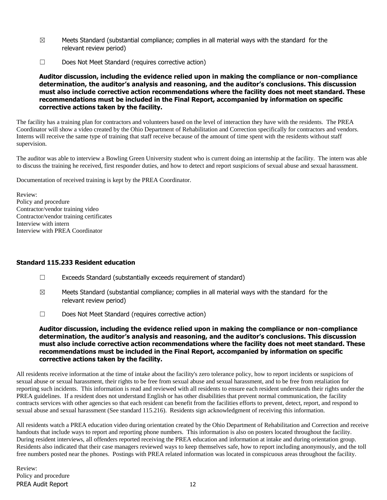- $\boxtimes$  Meets Standard (substantial compliance; complies in all material ways with the standard for the relevant review period)
- ☐ Does Not Meet Standard (requires corrective action)

**Auditor discussion, including the evidence relied upon in making the compliance or non-compliance determination, the auditor's analysis and reasoning, and the auditor's conclusions. This discussion must also include corrective action recommendations where the facility does not meet standard. These recommendations must be included in the Final Report, accompanied by information on specific corrective actions taken by the facility.**

The facility has a training plan for contractors and volunteers based on the level of interaction they have with the residents. The PREA Coordinator will show a video created by the Ohio Department of Rehabilitation and Correction specifically for contractors and vendors. Interns will receive the same type of training that staff receive because of the amount of time spent with the residents without staff supervision.

The auditor was able to interview a Bowling Green University student who is current doing an internship at the facility. The intern was able to discuss the training he received, first responder duties, and how to detect and report suspicions of sexual abuse and sexual harassment.

Documentation of received training is kept by the PREA Coordinator.

Review: Policy and procedure Contractor/vendor training video Contractor/vendor training certificates Interview with intern Interview with PREA Coordinator

## **Standard 115.233 Resident education**

- ☐ Exceeds Standard (substantially exceeds requirement of standard)
- $\boxtimes$  Meets Standard (substantial compliance; complies in all material ways with the standard for the relevant review period)
- ☐ Does Not Meet Standard (requires corrective action)

**Auditor discussion, including the evidence relied upon in making the compliance or non-compliance determination, the auditor's analysis and reasoning, and the auditor's conclusions. This discussion must also include corrective action recommendations where the facility does not meet standard. These recommendations must be included in the Final Report, accompanied by information on specific corrective actions taken by the facility.**

All residents receive information at the time of intake about the facility's zero tolerance policy, how to report incidents or suspicions of sexual abuse or sexual harassment, their rights to be free from sexual abuse and sexual harassment, and to be free from retaliation for reporting such incidents. This information is read and reviewed with all residents to ensure each resident understands their rights under the PREA guidelines. If a resident does not understand English or has other disabilities that prevent normal communication, the facility contracts services with other agencies so that each resident can benefit from the facilities efforts to prevent, detect, report, and respond to sexual abuse and sexual harassment (See standard 115.216). Residents sign acknowledgment of receiving this information.

All residents watch a PREA education video during orientation created by the Ohio Department of Rehabilitation and Correction and receive handouts that include ways to report and reporting phone numbers. This information is also on posters located throughout the facility. During resident interviews, all offenders reported receiving the PREA education and information at intake and during orientation group. Residents also indicated that their case managers reviewed ways to keep themselves safe, how to report including anonymously, and the toll free numbers posted near the phones. Postings with PREA related information was located in conspicuous areas throughout the facility.

PREA Audit Report 12 Review: Policy and procedure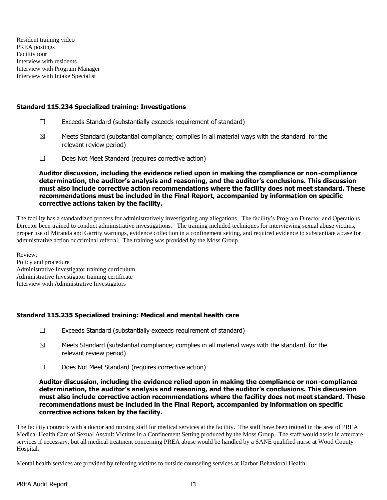Resident training video PREA postings Facility tour Interview with residents Interview with Program Manager Interview with Intake Specialist

#### **Standard 115.234 Specialized training: Investigations**

- ☐ Exceeds Standard (substantially exceeds requirement of standard)
- $\boxtimes$  Meets Standard (substantial compliance; complies in all material ways with the standard for the relevant review period)
- ☐ Does Not Meet Standard (requires corrective action)

**Auditor discussion, including the evidence relied upon in making the compliance or non-compliance determination, the auditor's analysis and reasoning, and the auditor's conclusions. This discussion must also include corrective action recommendations where the facility does not meet standard. These recommendations must be included in the Final Report, accompanied by information on specific corrective actions taken by the facility.**

The facility has a standardized process for administratively investigating any allegations. The facility's Program Director and Operations Director been trained to conduct administrative investigations. The training included techniques for interviewing sexual abuse victims, proper use of Miranda and Garrity warnings, evidence collection in a confinement setting, and required evidence to substantiate a case for administrative action or criminal referral. The training was provided by the Moss Group.

Review: Policy and procedure Administrative Investigator training curriculum Administrative Investigator training certificate Interview with Administrative Investigators

#### **Standard 115.235 Specialized training: Medical and mental health care**

- $\Box$  Exceeds Standard (substantially exceeds requirement of standard)
- $\boxtimes$  Meets Standard (substantial compliance; complies in all material ways with the standard for the relevant review period)
- ☐ Does Not Meet Standard (requires corrective action)

#### **Auditor discussion, including the evidence relied upon in making the compliance or non-compliance determination, the auditor's analysis and reasoning, and the auditor's conclusions. This discussion must also include corrective action recommendations where the facility does not meet standard. These recommendations must be included in the Final Report, accompanied by information on specific corrective actions taken by the facility.**

The facility contracts with a doctor and nursing staff for medical services at the facility. The staff have been trained in the area of PREA Medical Health Care of Sexual Assault Victims in a Confinement Setting produced by the Moss Group. The staff would assist in aftercare services if necessary, but all medical treatment concerning PREA abuse would be handled by a SANE qualified nurse at Wood County Hospital.

Mental health services are provided by referring victims to outside counseling services at Harbor Behavioral Health.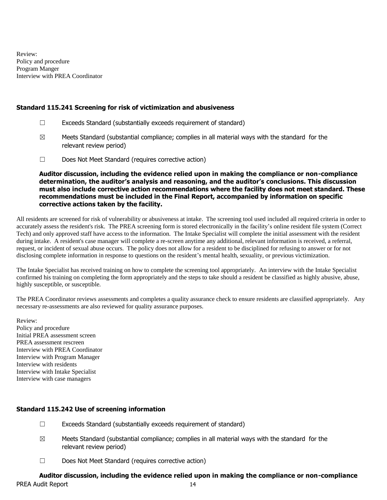Review: Policy and procedure Program Manger Interview with PREA Coordinator

#### **Standard 115.241 Screening for risk of victimization and abusiveness**

- $\Box$  Exceeds Standard (substantially exceeds requirement of standard)
- $\boxtimes$  Meets Standard (substantial compliance; complies in all material ways with the standard for the relevant review period)
- ☐ Does Not Meet Standard (requires corrective action)

**Auditor discussion, including the evidence relied upon in making the compliance or non-compliance determination, the auditor's analysis and reasoning, and the auditor's conclusions. This discussion must also include corrective action recommendations where the facility does not meet standard. These recommendations must be included in the Final Report, accompanied by information on specific corrective actions taken by the facility.**

All residents are screened for risk of vulnerability or abusiveness at intake. The screening tool used included all required criteria in order to accurately assess the resident's risk. The PREA screening form is stored electronically in the facility's online resident file system (Correct Tech) and only approved staff have access to the information. The Intake Specialist will complete the initial assessment with the resident during intake. A resident's case manager will complete a re-screen anytime any additional, relevant information is received, a referral, request, or incident of sexual abuse occurs. The policy does not allow for a resident to be disciplined for refusing to answer or for not disclosing complete information in response to questions on the resident's mental health, sexuality, or previous victimization.

The Intake Specialist has received training on how to complete the screening tool appropriately. An interview with the Intake Specialist confirmed his training on completing the form appropriately and the steps to take should a resident be classified as highly abusive, abuse, highly susceptible, or susceptible.

The PREA Coordinator reviews assessments and completes a quality assurance check to ensure residents are classified appropriately. Any necessary re-assessments are also reviewed for quality assurance purposes.

Review: Policy and procedure Initial PREA assessment screen PREA assessment rescreen Interview with PREA Coordinator Interview with Program Manager Interview with residents Interview with Intake Specialist Interview with case managers

#### **Standard 115.242 Use of screening information**

- $\Box$  Exceeds Standard (substantially exceeds requirement of standard)
- $\boxtimes$  Meets Standard (substantial compliance; complies in all material ways with the standard for the relevant review period)
- ☐ Does Not Meet Standard (requires corrective action)

# **Auditor discussion, including the evidence relied upon in making the compliance or non-compliance**

PREA Audit Report 14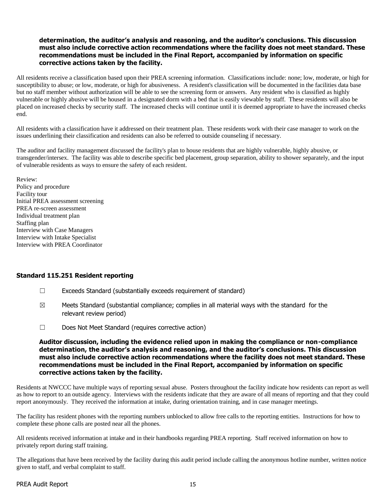## **determination, the auditor's analysis and reasoning, and the auditor's conclusions. This discussion must also include corrective action recommendations where the facility does not meet standard. These recommendations must be included in the Final Report, accompanied by information on specific corrective actions taken by the facility.**

All residents receive a classification based upon their PREA screening information. Classifications include: none; low, moderate, or high for susceptibility to abuse; or low, moderate, or high for abusiveness. A resident's classification will be documented in the facilities data base but no staff member without authorization will be able to see the screening form or answers. Any resident who is classified as highly vulnerable or highly abusive will be housed in a designated dorm with a bed that is easily viewable by staff. These residents will also be placed on increased checks by security staff. The increased checks will continue until it is deemed appropriate to have the increased checks end.

All residents with a classification have it addressed on their treatment plan. These residents work with their case manager to work on the issues underlining their classification and residents can also be referred to outside counseling if necessary.

The auditor and facility management discussed the facility's plan to house residents that are highly vulnerable, highly abusive, or transgender/intersex. The facility was able to describe specific bed placement, group separation, ability to shower separately, and the input of vulnerable residents as ways to ensure the safety of each resident.

Review: Policy and procedure Facility tour Initial PREA assessment screening PREA re-screen assessment Individual treatment plan Staffing plan Interview with Case Managers Interview with Intake Specialist Interview with PREA Coordinator

#### **Standard 115.251 Resident reporting**

- ☐ Exceeds Standard (substantially exceeds requirement of standard)
- $\boxtimes$  Meets Standard (substantial compliance; complies in all material ways with the standard for the relevant review period)
- ☐ Does Not Meet Standard (requires corrective action)

#### **Auditor discussion, including the evidence relied upon in making the compliance or non-compliance determination, the auditor's analysis and reasoning, and the auditor's conclusions. This discussion must also include corrective action recommendations where the facility does not meet standard. These recommendations must be included in the Final Report, accompanied by information on specific corrective actions taken by the facility.**

Residents at NWCCC have multiple ways of reporting sexual abuse. Posters throughout the facility indicate how residents can report as well as how to report to an outside agency. Interviews with the residents indicate that they are aware of all means of reporting and that they could report anonymously. They received the information at intake, during orientation training, and in case manager meetings.

The facility has resident phones with the reporting numbers unblocked to allow free calls to the reporting entities. Instructions for how to complete these phone calls are posted near all the phones.

All residents received information at intake and in their handbooks regarding PREA reporting. Staff received information on how to privately report during staff training.

The allegations that have been received by the facility during this audit period include calling the anonymous hotline number, written notice given to staff, and verbal complaint to staff.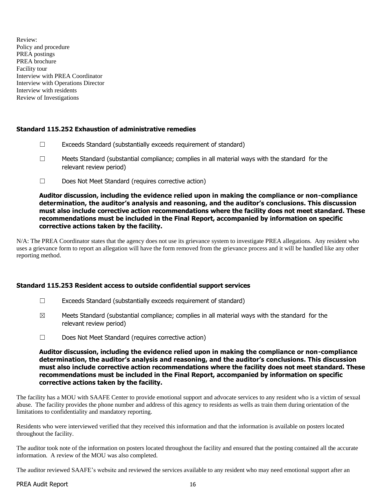Review: Policy and procedure PREA postings PREA brochure Facility tour Interview with PREA Coordinator Interview with Operations Director Interview with residents Review of Investigations

## **Standard 115.252 Exhaustion of administrative remedies**

- $\Box$  Exceeds Standard (substantially exceeds requirement of standard)
- ☐ Meets Standard (substantial compliance; complies in all material ways with the standard for the relevant review period)
- ☐ Does Not Meet Standard (requires corrective action)

#### **Auditor discussion, including the evidence relied upon in making the compliance or non-compliance determination, the auditor's analysis and reasoning, and the auditor's conclusions. This discussion must also include corrective action recommendations where the facility does not meet standard. These recommendations must be included in the Final Report, accompanied by information on specific corrective actions taken by the facility.**

N/A: The PREA Coordinator states that the agency does not use its grievance system to investigate PREA allegations. Any resident who uses a grievance form to report an allegation will have the form removed from the grievance process and it will be handled like any other reporting method.

## **Standard 115.253 Resident access to outside confidential support services**

- $\Box$  Exceeds Standard (substantially exceeds requirement of standard)
- $\boxtimes$  Meets Standard (substantial compliance; complies in all material ways with the standard for the relevant review period)
- ☐ Does Not Meet Standard (requires corrective action)

#### **Auditor discussion, including the evidence relied upon in making the compliance or non-compliance determination, the auditor's analysis and reasoning, and the auditor's conclusions. This discussion must also include corrective action recommendations where the facility does not meet standard. These recommendations must be included in the Final Report, accompanied by information on specific corrective actions taken by the facility.**

The facility has a MOU with SAAFE Center to provide emotional support and advocate services to any resident who is a victim of sexual abuse. The facility provides the phone number and address of this agency to residents as wells as train them during orientation of the limitations to confidentiality and mandatory reporting.

Residents who were interviewed verified that they received this information and that the information is available on posters located throughout the facility.

The auditor took note of the information on posters located throughout the facility and ensured that the posting contained all the accurate information. A review of the MOU was also completed.

The auditor reviewed SAAFE's website and reviewed the services available to any resident who may need emotional support after an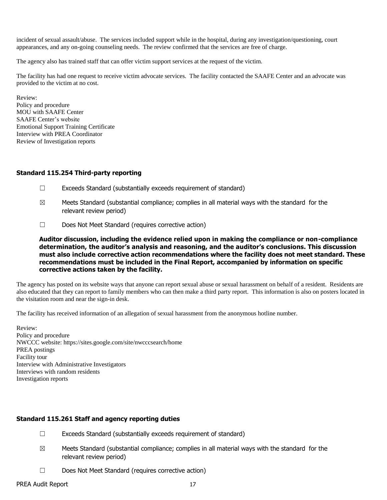incident of sexual assault/abuse. The services included support while in the hospital, during any investigation/questioning, court appearances, and any on-going counseling needs. The review confirmed that the services are free of charge.

The agency also has trained staff that can offer victim support services at the request of the victim.

The facility has had one request to receive victim advocate services. The facility contacted the SAAFE Center and an advocate was provided to the victim at no cost.

Review: Policy and procedure MOU with SAAFE Center SAAFE Center's website Emotional Support Training Certificate Interview with PREA Coordinator Review of Investigation reports

#### **Standard 115.254 Third-party reporting**

- $\Box$  Exceeds Standard (substantially exceeds requirement of standard)
- $\boxtimes$  Meets Standard (substantial compliance; complies in all material ways with the standard for the relevant review period)
- ☐ Does Not Meet Standard (requires corrective action)

**Auditor discussion, including the evidence relied upon in making the compliance or non-compliance determination, the auditor's analysis and reasoning, and the auditor's conclusions. This discussion must also include corrective action recommendations where the facility does not meet standard. These recommendations must be included in the Final Report, accompanied by information on specific corrective actions taken by the facility.**

The agency has posted on its website ways that anyone can report sexual abuse or sexual harassment on behalf of a resident. Residents are also educated that they can report to family members who can then make a third party report. This information is also on posters located in the visitation room and near the sign-in desk.

The facility has received information of an allegation of sexual harassment from the anonymous hotline number.

Review: Policy and procedure NWCCC website: https://sites.google.com/site/nwcccsearch/home PREA postings Facility tour Interview with Administrative Investigators Interviews with random residents Investigation reports

## **Standard 115.261 Staff and agency reporting duties**

- ☐ Exceeds Standard (substantially exceeds requirement of standard)
- $\boxtimes$  Meets Standard (substantial compliance; complies in all material ways with the standard for the relevant review period)
- ☐ Does Not Meet Standard (requires corrective action)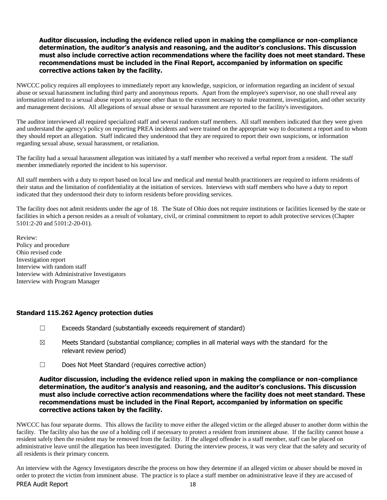#### **Auditor discussion, including the evidence relied upon in making the compliance or non-compliance determination, the auditor's analysis and reasoning, and the auditor's conclusions. This discussion must also include corrective action recommendations where the facility does not meet standard. These recommendations must be included in the Final Report, accompanied by information on specific corrective actions taken by the facility.**

NWCCC policy requires all employees to immediately report any knowledge, suspicion, or information regarding an incident of sexual abuse or sexual harassment including third party and anonymous reports. Apart from the employee's supervisor, no one shall reveal any information related to a sexual abuse report to anyone other than to the extent necessary to make treatment, investigation, and other security and management decisions. All allegations of sexual abuse or sexual harassment are reported to the facility's investigators.

The auditor interviewed all required specialized staff and several random staff members. All staff members indicated that they were given and understand the agency's policy on reporting PREA incidents and were trained on the appropriate way to document a report and to whom they should report an allegation. Staff indicated they understood that they are required to report their own suspicions, or information regarding sexual abuse, sexual harassment, or retaliation.

The facility had a sexual harassment allegation was initiated by a staff member who received a verbal report from a resident. The staff member immediately reported the incident to his supervisor.

All staff members with a duty to report based on local law and medical and mental health practitioners are required to inform residents of their status and the limitation of confidentiality at the initiation of services. Interviews with staff members who have a duty to report indicated that they understood their duty to inform residents before providing services.

The facility does not admit residents under the age of 18. The State of Ohio does not require institutions or facilities licensed by the state or facilities in which a person resides as a result of voluntary, civil, or criminal commitment to report to adult protective services (Chapter 5101:2-20 and 5101:2-20-01).

Review: Policy and procedure Ohio revised code Investigation report Interview with random staff Interview with Administrative Investigators Interview with Program Manager

## **Standard 115.262 Agency protection duties**

- $\Box$  Exceeds Standard (substantially exceeds requirement of standard)
- $\boxtimes$  Meets Standard (substantial compliance; complies in all material ways with the standard for the relevant review period)
- ☐ Does Not Meet Standard (requires corrective action)

#### **Auditor discussion, including the evidence relied upon in making the compliance or non-compliance determination, the auditor's analysis and reasoning, and the auditor's conclusions. This discussion must also include corrective action recommendations where the facility does not meet standard. These recommendations must be included in the Final Report, accompanied by information on specific corrective actions taken by the facility.**

NWCCC has four separate dorms. This allows the facility to move either the alleged victim or the alleged abuser to another dorm within the facility. The facility also has the use of a holding cell if necessary to protect a resident from imminent abuse. If the facility cannot house a resident safely then the resident may be removed from the facility. If the alleged offender is a staff member, staff can be placed on administrative leave until the allegation has been investigated. During the interview process, it was very clear that the safety and security of all residents is their primary concern.

PREA Audit Report 18 An interview with the Agency Investigators describe the process on how they determine if an alleged victim or abuser should be moved in order to protect the victim from imminent abuse. The practice is to place a staff member on administrative leave if they are accused of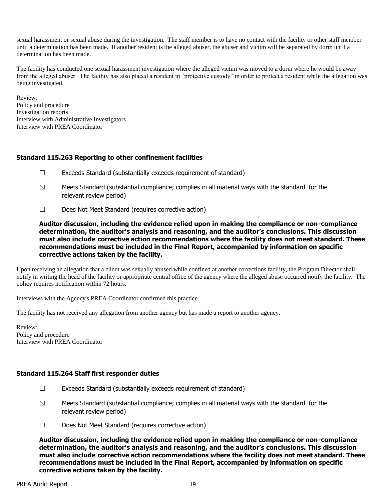sexual harassment or sexual abuse during the investigation. The staff member is to have no contact with the facility or other staff member until a determination has been made. If another resident is the alleged abuser, the abuser and victim will be separated by dorm until a determination has been made.

The facility has conducted one sexual harassment investigation where the alleged victim was moved to a dorm where he would be away from the alleged abuser. The facility has also placed a resident in "protective custody" in order to protect a resident while the allegation was being investigated.

Review: Policy and procedure Investigation reports Interview with Administrative Investigators Interview with PREA Coordinator

## **Standard 115.263 Reporting to other confinement facilities**

- ☐ Exceeds Standard (substantially exceeds requirement of standard)
- $\boxtimes$  Meets Standard (substantial compliance; complies in all material ways with the standard for the relevant review period)
- ☐ Does Not Meet Standard (requires corrective action)

**Auditor discussion, including the evidence relied upon in making the compliance or non-compliance determination, the auditor's analysis and reasoning, and the auditor's conclusions. This discussion must also include corrective action recommendations where the facility does not meet standard. These recommendations must be included in the Final Report, accompanied by information on specific corrective actions taken by the facility.**

Upon receiving an allegation that a client was sexually abused while confined at another corrections facility, the Program Director shall notify in writing the head of the facility or appropriate central office of the agency where the alleged abuse occurred notify the facility. The policy requires notification within 72 hours.

Interviews with the Agency's PREA Coordinator confirmed this practice.

The facility has not received any allegation from another agency but has made a report to another agency.

Review: Policy and procedure Interview with PREA Coordinator

## **Standard 115.264 Staff first responder duties**

- ☐ Exceeds Standard (substantially exceeds requirement of standard)
- $\boxtimes$  Meets Standard (substantial compliance; complies in all material ways with the standard for the relevant review period)
- ☐ Does Not Meet Standard (requires corrective action)

**Auditor discussion, including the evidence relied upon in making the compliance or non-compliance determination, the auditor's analysis and reasoning, and the auditor's conclusions. This discussion must also include corrective action recommendations where the facility does not meet standard. These recommendations must be included in the Final Report, accompanied by information on specific corrective actions taken by the facility.**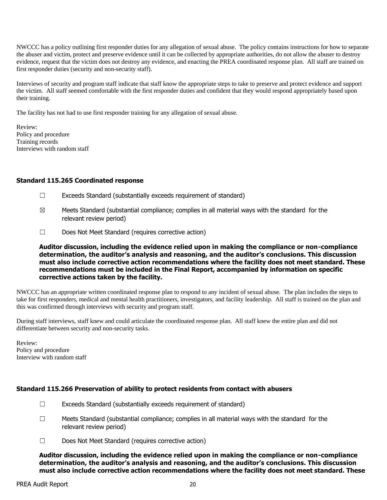NWCCC has a policy outlining first responder duties for any allegation of sexual abuse. The policy contains instructions for how to separate the abuser and victim, protect and preserve evidence until it can be collected by appropriate authorities, do not allow the abuser to destroy evidence, request that the victim does not destroy any evidence, and enacting the PREA coordinated response plan. All staff are trained on first responder duties (security and non-security staff).

Interviews of security and program staff indicate that staff know the appropriate steps to take to preserve and protect evidence and support the victim. All staff seemed comfortable with the first responder duties and confident that they would respond appropriately based upon their training.

The facility has not had to use first responder training for any allegation of sexual abuse.

Review: Policy and procedure Training records Interviews with random staff

## **Standard 115.265 Coordinated response**

- $\Box$  Exceeds Standard (substantially exceeds requirement of standard)
- $\boxtimes$  Meets Standard (substantial compliance; complies in all material ways with the standard for the relevant review period)
- ☐ Does Not Meet Standard (requires corrective action)

**Auditor discussion, including the evidence relied upon in making the compliance or non-compliance determination, the auditor's analysis and reasoning, and the auditor's conclusions. This discussion must also include corrective action recommendations where the facility does not meet standard. These recommendations must be included in the Final Report, accompanied by information on specific corrective actions taken by the facility.**

NWCCC has an appropriate written coordinated response plan to respond to any incident of sexual abuse. The plan includes the steps to take for first responders, medical and mental health practitioners, investigators, and facility leadership. All staff is trained on the plan and this was confirmed through interviews with security and program staff.

During staff interviews, staff knew and could articulate the coordinated response plan. All staff knew the entire plan and did not differentiate between security and non-security tasks.

Review: Policy and procedure Interview with random staff

## **Standard 115.266 Preservation of ability to protect residents from contact with abusers**

- $\Box$  Exceeds Standard (substantially exceeds requirement of standard)
- $\Box$  Meets Standard (substantial compliance; complies in all material ways with the standard for the relevant review period)
- ☐ Does Not Meet Standard (requires corrective action)

**Auditor discussion, including the evidence relied upon in making the compliance or non-compliance determination, the auditor's analysis and reasoning, and the auditor's conclusions. This discussion must also include corrective action recommendations where the facility does not meet standard. These**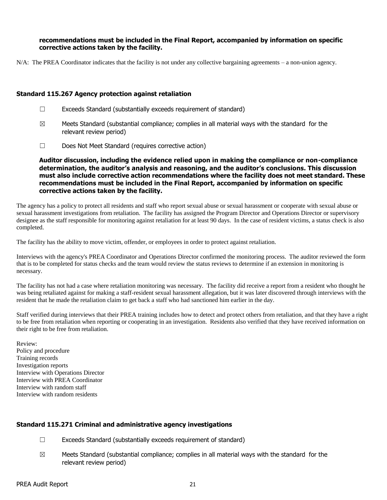#### **recommendations must be included in the Final Report, accompanied by information on specific corrective actions taken by the facility.**

N/A: The PREA Coordinator indicates that the facility is not under any collective bargaining agreements – a non-union agency.

#### **Standard 115.267 Agency protection against retaliation**

- ☐ Exceeds Standard (substantially exceeds requirement of standard)
- $\boxtimes$  Meets Standard (substantial compliance; complies in all material ways with the standard for the relevant review period)
- ☐ Does Not Meet Standard (requires corrective action)

**Auditor discussion, including the evidence relied upon in making the compliance or non-compliance determination, the auditor's analysis and reasoning, and the auditor's conclusions. This discussion must also include corrective action recommendations where the facility does not meet standard. These recommendations must be included in the Final Report, accompanied by information on specific corrective actions taken by the facility.**

The agency has a policy to protect all residents and staff who report sexual abuse or sexual harassment or cooperate with sexual abuse or sexual harassment investigations from retaliation. The facility has assigned the Program Director and Operations Director or supervisory designee as the staff responsible for monitoring against retaliation for at least 90 days. In the case of resident victims, a status check is also completed.

The facility has the ability to move victim, offender, or employees in order to protect against retaliation.

Interviews with the agency's PREA Coordinator and Operations Director confirmed the monitoring process. The auditor reviewed the form that is to be completed for status checks and the team would review the status reviews to determine if an extension in monitoring is necessary.

The facility has not had a case where retaliation monitoring was necessary. The facility did receive a report from a resident who thought he was being retaliated against for making a staff-resident sexual harassment allegation, but it was later discovered through interviews with the resident that he made the retaliation claim to get back a staff who had sanctioned him earlier in the day.

Staff verified during interviews that their PREA training includes how to detect and protect others from retaliation, and that they have a right to be free from retaliation when reporting or cooperating in an investigation. Residents also verified that they have received information on their right to be free from retaliation.

Review: Policy and procedure Training records Investigation reports Interview with Operations Director Interview with PREA Coordinator Interview with random staff Interview with random residents

## **Standard 115.271 Criminal and administrative agency investigations**

- $\Box$  Exceeds Standard (substantially exceeds requirement of standard)
- $\boxtimes$  Meets Standard (substantial compliance; complies in all material ways with the standard for the relevant review period)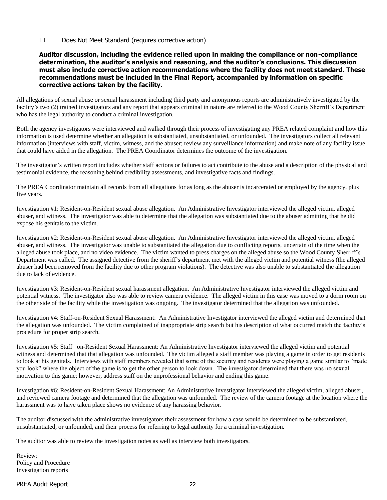☐ Does Not Meet Standard (requires corrective action)

#### **Auditor discussion, including the evidence relied upon in making the compliance or non-compliance determination, the auditor's analysis and reasoning, and the auditor's conclusions. This discussion must also include corrective action recommendations where the facility does not meet standard. These recommendations must be included in the Final Report, accompanied by information on specific corrective actions taken by the facility.**

All allegations of sexual abuse or sexual harassment including third party and anonymous reports are administratively investigated by the facility's two (2) trained investigators and any report that appears criminal in nature are referred to the Wood County Sherriff's Department who has the legal authority to conduct a criminal investigation.

Both the agency investigators were interviewed and walked through their process of investigating any PREA related complaint and how this information is used determine whether an allegation is substantiated, unsubstantiated, or unfounded. The investigators collect all relevant information (interviews with staff, victim, witness, and the abuser; review any surveillance information) and make note of any facility issue that could have aided in the allegation. The PREA Coordinator determines the outcome of the investigation.

The investigator's written report includes whether staff actions or failures to act contribute to the abuse and a description of the physical and testimonial evidence, the reasoning behind credibility assessments, and investigative facts and findings.

The PREA Coordinator maintain all records from all allegations for as long as the abuser is incarcerated or employed by the agency, plus five years.

Investigation #1: Resident-on-Resident sexual abuse allegation. An Administrative Investigator interviewed the alleged victim, alleged abuser, and witness. The investigator was able to determine that the allegation was substantiated due to the abuser admitting that he did expose his genitals to the victim.

Investigation #2: Resident-on-Resident sexual abuse allegation. An Administrative Investigator interviewed the alleged victim, alleged abuser, and witness. The investigator was unable to substantiated the allegation due to conflicting reports, uncertain of the time when the alleged abuse took place, and no video evidence. The victim wanted to press charges on the alleged abuse so the Wood County Sherriff's Department was called. The assigned detective from the sheriff's department met with the alleged victim and potential witness (the alleged abuser had been removed from the facility due to other program violations). The detective was also unable to substantiated the allegation due to lack of evidence.

Investigation #3: Resident-on-Resident sexual harassment allegation. An Administrative Investigator interviewed the alleged victim and potential witness. The investigator also was able to review camera evidence. The alleged victim in this case was moved to a dorm room on the other side of the facility while the investigation was ongoing. The investigator determined that the allegation was unfounded.

Investigation #4: Staff-on-Resident Sexual Harassment: An Administrative Investigator interviewed the alleged victim and determined that the allegation was unfounded. The victim complained of inappropriate strip search but his description of what occurred match the facility's procedure for proper strip search.

Investigation #5: Staff –on-Resident Sexual Harassment: An Administrative Investigator interviewed the alleged victim and potential witness and determined that that allegation was unfounded. The victim alleged a staff member was playing a game in order to get residents to look at his genitals. Interviews with staff members revealed that some of the security and residents were playing a game similar to "made you look" where the object of the game is to get the other person to look down. The investigator determined that there was no sexual motivation to this game; however, address staff on the unprofessional behavior and ending this game.

Investigation #6: Resident-on-Resident Sexual Harassment: An Administrative Investigator interviewed the alleged victim, alleged abuser, and reviewed camera footage and determined that the allegation was unfounded. The review of the camera footage at the location where the harassment was to have taken place shows no evidence of any harassing behavior.

The auditor discussed with the administrative investigators their assessment for how a case would be determined to be substantiated, unsubstantiated, or unfounded, and their process for referring to legal authority for a criminal investigation.

The auditor was able to review the investigation notes as well as interview both investigators.

Review: Policy and Procedure Investigation reports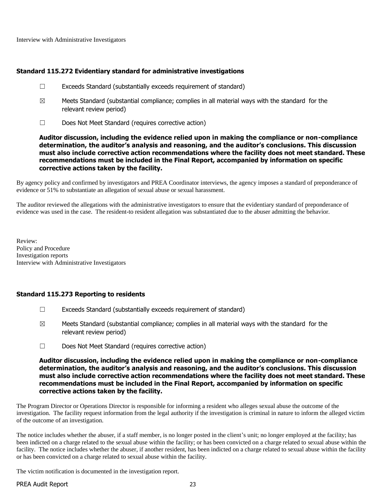Interview with Administrative Investigators

## **Standard 115.272 Evidentiary standard for administrative investigations**

- ☐ Exceeds Standard (substantially exceeds requirement of standard)
- $\boxtimes$  Meets Standard (substantial compliance; complies in all material ways with the standard for the relevant review period)
- ☐ Does Not Meet Standard (requires corrective action)

**Auditor discussion, including the evidence relied upon in making the compliance or non-compliance determination, the auditor's analysis and reasoning, and the auditor's conclusions. This discussion must also include corrective action recommendations where the facility does not meet standard. These recommendations must be included in the Final Report, accompanied by information on specific corrective actions taken by the facility.**

By agency policy and confirmed by investigators and PREA Coordinator interviews, the agency imposes a standard of preponderance of evidence or 51% to substantiate an allegation of sexual abuse or sexual harassment.

The auditor reviewed the allegations with the administrative investigators to ensure that the evidentiary standard of preponderance of evidence was used in the case. The resident-to resident allegation was substantiated due to the abuser admitting the behavior.

Review: Policy and Procedure Investigation reports Interview with Administrative Investigators

## **Standard 115.273 Reporting to residents**

- ☐ Exceeds Standard (substantially exceeds requirement of standard)
- $\boxtimes$  Meets Standard (substantial compliance; complies in all material ways with the standard for the relevant review period)
- ☐ Does Not Meet Standard (requires corrective action)

#### **Auditor discussion, including the evidence relied upon in making the compliance or non-compliance determination, the auditor's analysis and reasoning, and the auditor's conclusions. This discussion must also include corrective action recommendations where the facility does not meet standard. These recommendations must be included in the Final Report, accompanied by information on specific corrective actions taken by the facility.**

The Program Director or Operations Director is responsible for informing a resident who alleges sexual abuse the outcome of the investigation. The facility request information from the legal authority if the investigation is criminal in nature to inform the alleged victim of the outcome of an investigation.

The notice includes whether the abuser, if a staff member, is no longer posted in the client's unit; no longer employed at the facility; has been indicted on a charge related to the sexual abuse within the facility; or has been convicted on a charge related to sexual abuse within the facility. The notice includes whether the abuser, if another resident, has been indicted on a charge related to sexual abuse within the facility or has been convicted on a charge related to sexual abuse within the facility.

The victim notification is documented in the investigation report.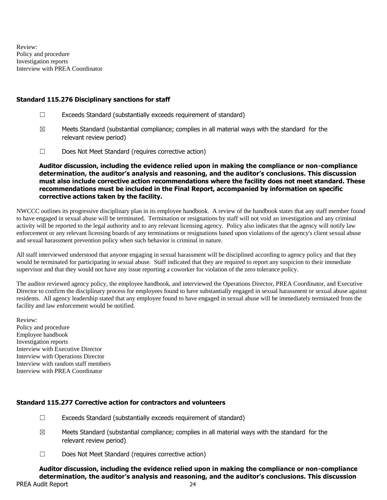Review: Policy and procedure Investigation reports Interview with PREA Coordinator

#### **Standard 115.276 Disciplinary sanctions for staff**

- ☐ Exceeds Standard (substantially exceeds requirement of standard)
- $\boxtimes$  Meets Standard (substantial compliance; complies in all material ways with the standard for the relevant review period)
- ☐ Does Not Meet Standard (requires corrective action)

**Auditor discussion, including the evidence relied upon in making the compliance or non-compliance determination, the auditor's analysis and reasoning, and the auditor's conclusions. This discussion must also include corrective action recommendations where the facility does not meet standard. These recommendations must be included in the Final Report, accompanied by information on specific corrective actions taken by the facility.**

NWCCC outlines its progressive disciplinary plan in its employee handbook. A review of the handbook states that any staff member found to have engaged in sexual abuse will be terminated. Termination or resignations by staff will not void an investigation and any criminal activity will be reported to the legal authority and to any relevant licensing agency. Policy also indicates that the agency will notify law enforcement or any relevant licensing boards of any terminations or resignations based upon violations of the agency's client sexual abuse and sexual harassment prevention policy when such behavior is criminal in nature.

All staff interviewed understood that anyone engaging in sexual harassment will be disciplined according to agency policy and that they would be terminated for participating in sexual abuse. Staff indicated that they are required to report any suspicion to their immediate supervisor and that they would not have any issue reporting a coworker for violation of the zero tolerance policy.

The auditor reviewed agency policy, the employee handbook, and interviewed the Operations Director, PREA Coordinator, and Executive Director to confirm the disciplinary process for employees found to have substantially engaged in sexual harassment or sexual abuse against residents. All agency leadership stated that any employee found to have engaged in sexual abuse will be immediately terminated from the facility and law enforcement would be notified.

Review: Policy and procedure Employee handbook Investigation reports Interview with Executive Director Interview with Operations Director Interview with random staff members Interview with PREA Coordinator

## **Standard 115.277 Corrective action for contractors and volunteers**

- $\Box$  Exceeds Standard (substantially exceeds requirement of standard)
- $\boxtimes$  Meets Standard (substantial compliance; complies in all material ways with the standard for the relevant review period)
- ☐ Does Not Meet Standard (requires corrective action)

PREA Audit Report 24 **Auditor discussion, including the evidence relied upon in making the compliance or non-compliance determination, the auditor's analysis and reasoning, and the auditor's conclusions. This discussion**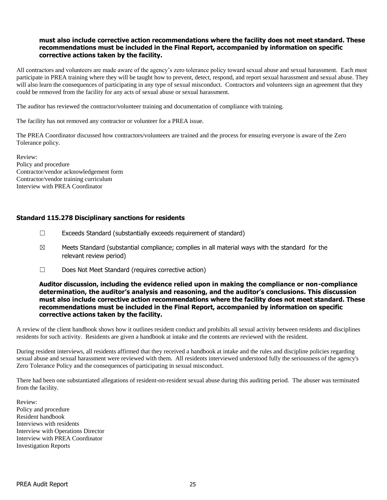## **must also include corrective action recommendations where the facility does not meet standard. These recommendations must be included in the Final Report, accompanied by information on specific corrective actions taken by the facility.**

All contractors and volunteers are made aware of the agency's zero tolerance policy toward sexual abuse and sexual harassment. Each must participate in PREA training where they will be taught how to prevent, detect, respond, and report sexual harassment and sexual abuse. They will also learn the consequences of participating in any type of sexual misconduct. Contractors and volunteers sign an agreement that they could be removed from the facility for any acts of sexual abuse or sexual harassment.

The auditor has reviewed the contractor/volunteer training and documentation of compliance with training.

The facility has not removed any contractor or volunteer for a PREA issue.

The PREA Coordinator discussed how contractors/volunteers are trained and the process for ensuring everyone is aware of the Zero Tolerance policy.

Review: Policy and procedure Contractor/vendor acknowledgement form Contractor/vendor training curriculum Interview with PREA Coordinator

## **Standard 115.278 Disciplinary sanctions for residents**

- ☐ Exceeds Standard (substantially exceeds requirement of standard)
- $\boxtimes$  Meets Standard (substantial compliance; complies in all material ways with the standard for the relevant review period)
- ☐ Does Not Meet Standard (requires corrective action)

**Auditor discussion, including the evidence relied upon in making the compliance or non-compliance determination, the auditor's analysis and reasoning, and the auditor's conclusions. This discussion must also include corrective action recommendations where the facility does not meet standard. These recommendations must be included in the Final Report, accompanied by information on specific corrective actions taken by the facility.**

A review of the client handbook shows how it outlines resident conduct and prohibits all sexual activity between residents and disciplines residents for such activity. Residents are given a handbook at intake and the contents are reviewed with the resident.

During resident interviews, all residents affirmed that they received a handbook at intake and the rules and discipline policies regarding sexual abuse and sexual harassment were reviewed with them. All residents interviewed understood fully the seriousness of the agency's Zero Tolerance Policy and the consequences of participating in sexual misconduct.

There had been one substantiated allegations of resident-on-resident sexual abuse during this auditing period. The abuser was terminated from the facility.

Review: Policy and procedure Resident handbook Interviews with residents Interview with Operations Director Interview with PREA Coordinator Investigation Reports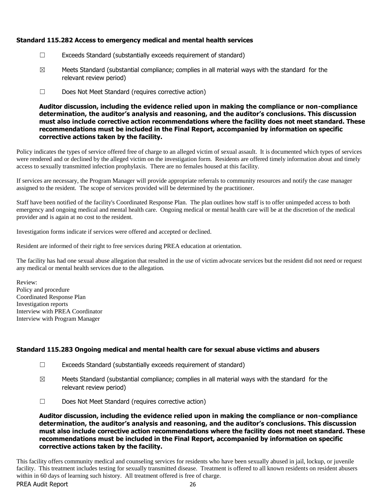## **Standard 115.282 Access to emergency medical and mental health services**

- ☐ Exceeds Standard (substantially exceeds requirement of standard)
- $\boxtimes$  Meets Standard (substantial compliance; complies in all material ways with the standard for the relevant review period)
- ☐ Does Not Meet Standard (requires corrective action)

**Auditor discussion, including the evidence relied upon in making the compliance or non-compliance determination, the auditor's analysis and reasoning, and the auditor's conclusions. This discussion must also include corrective action recommendations where the facility does not meet standard. These recommendations must be included in the Final Report, accompanied by information on specific corrective actions taken by the facility.**

Policy indicates the types of service offered free of charge to an alleged victim of sexual assault. It is documented which types of services were rendered and or declined by the alleged victim on the investigation form. Residents are offered timely information about and timely access to sexually transmitted infection prophylaxis. There are no females housed at this facility.

If services are necessary, the Program Manager will provide appropriate referrals to community resources and notify the case manager assigned to the resident. The scope of services provided will be determined by the practitioner.

Staff have been notified of the facility's Coordinated Response Plan. The plan outlines how staff is to offer unimpeded access to both emergency and ongoing medical and mental health care. Ongoing medical or mental health care will be at the discretion of the medical provider and is again at no cost to the resident.

Investigation forms indicate if services were offered and accepted or declined.

Resident are informed of their right to free services during PREA education at orientation.

The facility has had one sexual abuse allegation that resulted in the use of victim advocate services but the resident did not need or request any medical or mental health services due to the allegation.

Review: Policy and procedure Coordinated Response Plan Investigation reports Interview with PREA Coordinator Interview with Program Manager

## **Standard 115.283 Ongoing medical and mental health care for sexual abuse victims and abusers**

- ☐ Exceeds Standard (substantially exceeds requirement of standard)
- $\boxtimes$  Meets Standard (substantial compliance; complies in all material ways with the standard for the relevant review period)
- ☐ Does Not Meet Standard (requires corrective action)

**Auditor discussion, including the evidence relied upon in making the compliance or non-compliance determination, the auditor's analysis and reasoning, and the auditor's conclusions. This discussion must also include corrective action recommendations where the facility does not meet standard. These recommendations must be included in the Final Report, accompanied by information on specific corrective actions taken by the facility.**

This facility offers community medical and counseling services for residents who have been sexually abused in jail, lockup, or juvenile facility. This treatment includes testing for sexually transmitted disease. Treatment is offered to all known residents on resident abusers within in 60 days of learning such history. All treatment offered is free of charge.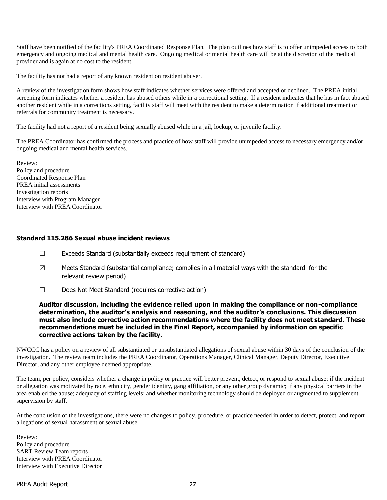Staff have been notified of the facility's PREA Coordinated Response Plan. The plan outlines how staff is to offer unimpeded access to both emergency and ongoing medical and mental health care. Ongoing medical or mental health care will be at the discretion of the medical provider and is again at no cost to the resident.

The facility has not had a report of any known resident on resident abuser.

A review of the investigation form shows how staff indicates whether services were offered and accepted or declined. The PREA initial screening form indicates whether a resident has abused others while in a correctional setting. If a resident indicates that he has in fact abused another resident while in a corrections setting, facility staff will meet with the resident to make a determination if additional treatment or referrals for community treatment is necessary.

The facility had not a report of a resident being sexually abused while in a jail, lockup, or juvenile facility.

The PREA Coordinator has confirmed the process and practice of how staff will provide unimpeded access to necessary emergency and/or ongoing medical and mental health services.

Review: Policy and procedure Coordinated Response Plan PREA initial assessments Investigation reports Interview with Program Manager Interview with PREA Coordinator

#### **Standard 115.286 Sexual abuse incident reviews**

- ☐ Exceeds Standard (substantially exceeds requirement of standard)
- $\boxtimes$  Meets Standard (substantial compliance; complies in all material ways with the standard for the relevant review period)
- ☐ Does Not Meet Standard (requires corrective action)

**Auditor discussion, including the evidence relied upon in making the compliance or non-compliance determination, the auditor's analysis and reasoning, and the auditor's conclusions. This discussion must also include corrective action recommendations where the facility does not meet standard. These recommendations must be included in the Final Report, accompanied by information on specific corrective actions taken by the facility.**

NWCCC has a policy on a review of all substantiated or unsubstantiated allegations of sexual abuse within 30 days of the conclusion of the investigation. The review team includes the PREA Coordinator, Operations Manager, Clinical Manager, Deputy Director, Executive Director, and any other employee deemed appropriate.

The team, per policy, considers whether a change in policy or practice will better prevent, detect, or respond to sexual abuse; if the incident or allegation was motivated by race, ethnicity, gender identity, gang affiliation, or any other group dynamic; if any physical barriers in the area enabled the abuse; adequacy of staffing levels; and whether monitoring technology should be deployed or augmented to supplement supervision by staff.

At the conclusion of the investigations, there were no changes to policy, procedure, or practice needed in order to detect, protect, and report allegations of sexual harassment or sexual abuse.

Review: Policy and procedure SART Review Team reports Interview with PREA Coordinator Interview with Executive Director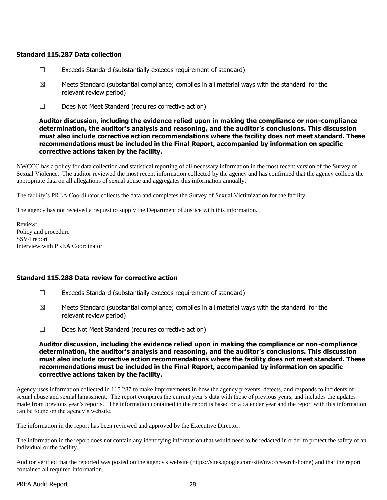#### **Standard 115.287 Data collection**

- $\Box$  Exceeds Standard (substantially exceeds requirement of standard)
- $\boxtimes$  Meets Standard (substantial compliance; complies in all material ways with the standard for the relevant review period)
- ☐ Does Not Meet Standard (requires corrective action)

**Auditor discussion, including the evidence relied upon in making the compliance or non-compliance determination, the auditor's analysis and reasoning, and the auditor's conclusions. This discussion must also include corrective action recommendations where the facility does not meet standard. These recommendations must be included in the Final Report, accompanied by information on specific corrective actions taken by the facility.**

NWCCC has a policy for data collection and statistical reporting of all necessary information in the most recent version of the Survey of Sexual Violence. The auditor reviewed the most recent information collected by the agency and has confirmed that the agency collects the appropriate data on all allegations of sexual abuse and aggregates this information annually.

The facility's PREA Coordinator collects the data and completes the Survey of Sexual Victimization for the facility.

The agency has not received a request to supply the Department of Justice with this information.

Review: Policy and procedure SSV4 report Interview with PREA Coordinator

## **Standard 115.288 Data review for corrective action**

- $\Box$  Exceeds Standard (substantially exceeds requirement of standard)
- $\boxtimes$  Meets Standard (substantial compliance; complies in all material ways with the standard for the relevant review period)
- ☐ Does Not Meet Standard (requires corrective action)

**Auditor discussion, including the evidence relied upon in making the compliance or non-compliance determination, the auditor's analysis and reasoning, and the auditor's conclusions. This discussion must also include corrective action recommendations where the facility does not meet standard. These recommendations must be included in the Final Report, accompanied by information on specific corrective actions taken by the facility.**

Agency uses information collected in 115.287 to make improvements in how the agency prevents, detects, and responds to incidents of sexual abuse and sexual harassment. The report compares the current year's data with those of previous years, and includes the updates made from previous year's reports. The information contained in the report is based on a calendar year and the report with this information can be found on the agency's website.

The information in the report has been reviewed and approved by the Executive Director.

The information in the report does not contain any identifying information that would need to be redacted in order to protect the safety of an individual or the facility.

Auditor verified that the reported was posted on the agency's website (https://sites.google.com/site/nwcccsearch/home) and that the report contained all required information.